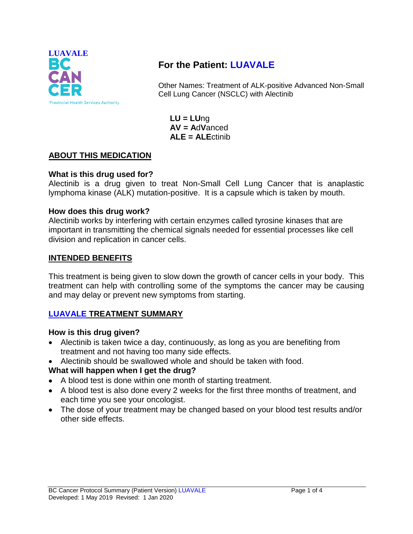

# **For the Patient: LUAVALE**

Other Names: Treatment of ALK-positive Advanced Non-Small Cell Lung Cancer (NSCLC) with Alectinib

**LU = LU**ng **AV = A**d**V**anced **ALE = ALE**ctinib

# **ABOUT THIS MEDICATION**

## **What is this drug used for?**

Alectinib is a drug given to treat Non-Small Cell Lung Cancer that is anaplastic lymphoma kinase (ALK) mutation-positive. It is a capsule which is taken by mouth.

#### **How does this drug work?**

Alectinib works by interfering with certain enzymes called tyrosine kinases that are important in transmitting the chemical signals needed for essential processes like cell division and replication in cancer cells.

## **INTENDED BENEFITS**

This treatment is being given to slow down the growth of cancer cells in your body. This treatment can help with controlling some of the symptoms the cancer may be causing and may delay or prevent new symptoms from starting.

# **LUAVALE TREATMENT SUMMARY**

#### **How is this drug given?**

- Alectinib is taken twice a day, continuously, as long as you are benefiting from treatment and not having too many side effects.
- Alectinib should be swallowed whole and should be taken with food.

# **What will happen when I get the drug?**

- A blood test is done within one month of starting treatment.
- A blood test is also done every 2 weeks for the first three months of treatment, and each time you see your oncologist.
- The dose of your treatment may be changed based on your blood test results and/or other side effects.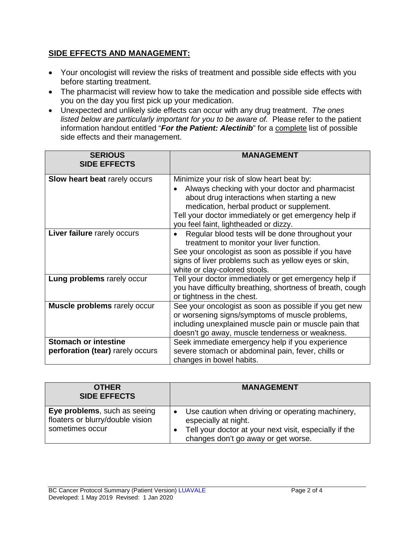# **SIDE EFFECTS AND MANAGEMENT:**

- Your oncologist will review the risks of treatment and possible side effects with you before starting treatment.
- The pharmacist will review how to take the medication and possible side effects with you on the day you first pick up your medication.
- Unexpected and unlikely side effects can occur with any drug treatment. *The ones listed below are particularly important for you to be aware of.* Please refer to the patient information handout entitled "*For the Patient: Alectinib*" for a complete list of possible side effects and their management.

| <b>SERIOUS</b><br><b>SIDE EFFECTS</b>                           | <b>MANAGEMENT</b>                                                                                                                                                                                                                                                                          |
|-----------------------------------------------------------------|--------------------------------------------------------------------------------------------------------------------------------------------------------------------------------------------------------------------------------------------------------------------------------------------|
| <b>Slow heart beat rarely occurs</b>                            | Minimize your risk of slow heart beat by:<br>Always checking with your doctor and pharmacist<br>about drug interactions when starting a new<br>medication, herbal product or supplement.<br>Tell your doctor immediately or get emergency help if<br>you feel faint, lightheaded or dizzy. |
| Liver failure rarely occurs                                     | Regular blood tests will be done throughout your<br>treatment to monitor your liver function.<br>See your oncologist as soon as possible if you have<br>signs of liver problems such as yellow eyes or skin,<br>white or clay-colored stools.                                              |
| Lung problems rarely occur                                      | Tell your doctor immediately or get emergency help if<br>you have difficulty breathing, shortness of breath, cough<br>or tightness in the chest.                                                                                                                                           |
| Muscle problems rarely occur                                    | See your oncologist as soon as possible if you get new<br>or worsening signs/symptoms of muscle problems,<br>including unexplained muscle pain or muscle pain that<br>doesn't go away, muscle tenderness or weakness.                                                                      |
| <b>Stomach or intestine</b><br>perforation (tear) rarely occurs | Seek immediate emergency help if you experience<br>severe stomach or abdominal pain, fever, chills or<br>changes in bowel habits.                                                                                                                                                          |

| <b>OTHER</b><br><b>SIDE EFFECTS</b>                                                 | <b>MANAGEMENT</b>                                                                                                                                                         |
|-------------------------------------------------------------------------------------|---------------------------------------------------------------------------------------------------------------------------------------------------------------------------|
| Eye problems, such as seeing<br>floaters or blurry/double vision<br>sometimes occur | Use caution when driving or operating machinery,<br>especially at night.<br>Tell your doctor at your next visit, especially if the<br>changes don't go away or get worse. |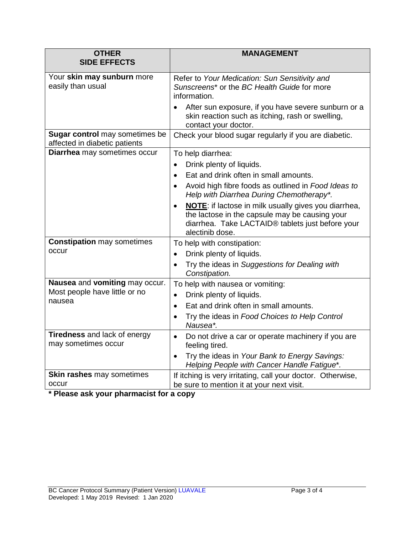| <b>OTHER</b>                                                              | <b>MANAGEMENT</b>                                                                                                                                                                                                                                                                                                                                                                                                        |
|---------------------------------------------------------------------------|--------------------------------------------------------------------------------------------------------------------------------------------------------------------------------------------------------------------------------------------------------------------------------------------------------------------------------------------------------------------------------------------------------------------------|
| <b>SIDE EFFECTS</b>                                                       |                                                                                                                                                                                                                                                                                                                                                                                                                          |
| Your skin may sunburn more<br>easily than usual                           | Refer to Your Medication: Sun Sensitivity and<br>Sunscreens <sup>*</sup> or the BC Health Guide for more<br>information.<br>After sun exposure, if you have severe sunburn or a<br>skin reaction such as itching, rash or swelling,<br>contact your doctor.                                                                                                                                                              |
| Sugar control may sometimes be<br>affected in diabetic patients           | Check your blood sugar regularly if you are diabetic.                                                                                                                                                                                                                                                                                                                                                                    |
| Diarrhea may sometimes occur                                              | To help diarrhea:<br>Drink plenty of liquids.<br>$\bullet$<br>Eat and drink often in small amounts.<br>Avoid high fibre foods as outlined in Food Ideas to<br>$\bullet$<br>Help with Diarrhea During Chemotherapy*.<br><b>NOTE:</b> if lactose in milk usually gives you diarrhea,<br>$\bullet$<br>the lactose in the capsule may be causing your<br>diarrhea. Take LACTAID® tablets just before your<br>alectinib dose. |
| <b>Constipation may sometimes</b><br>occur                                | To help with constipation:<br>Drink plenty of liquids.<br>Try the ideas in Suggestions for Dealing with<br>$\bullet$<br>Constipation.                                                                                                                                                                                                                                                                                    |
| Nausea and vomiting may occur.<br>Most people have little or no<br>nausea | To help with nausea or vomiting:<br>Drink plenty of liquids.<br>$\bullet$<br>Eat and drink often in small amounts.<br>$\bullet$<br>Try the ideas in Food Choices to Help Control<br>$\bullet$<br>Nausea*.                                                                                                                                                                                                                |
| Tiredness and lack of energy<br>may sometimes occur                       | Do not drive a car or operate machinery if you are<br>$\bullet$<br>feeling tired.<br>Try the ideas in Your Bank to Energy Savings:<br>$\bullet$<br>Helping People with Cancer Handle Fatigue*.                                                                                                                                                                                                                           |
| <b>Skin rashes may sometimes</b><br>occur                                 | If itching is very irritating, call your doctor. Otherwise,<br>be sure to mention it at your next visit.                                                                                                                                                                                                                                                                                                                 |

**\* Please ask your pharmacist for a copy**